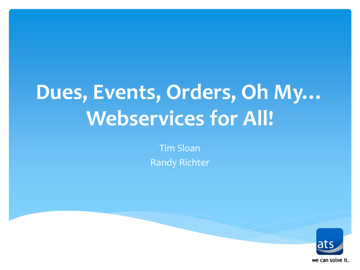# **Dues, Events, Orders, Oh My… Webservices for All!**

Tim Sloan Randy Richter

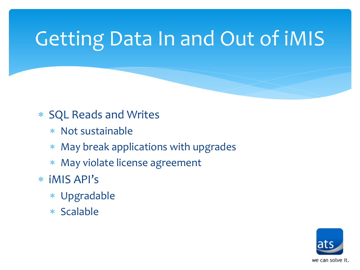# Getting Data In and Out of iMIS

#### SQL Reads and Writes

- Not sustainable
- May break applications with upgrades
- May violate license agreement
- iMIS API's
	- Upgradable
	- Scalable

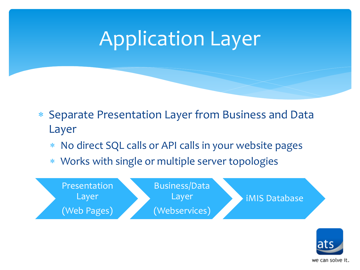## Application Layer

- Separate Presentation Layer from Business and Data Layer
	- No direct SQL calls or API calls in your website pages
	- Works with single or multiple server topologies



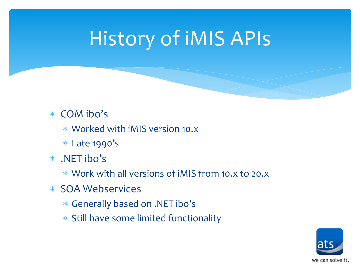## History of iMIS APIs

#### COM ibo's

- Worked with iMIS version 10.x
- Late 1990's
- .NET ibo's
	- Work with all versions of iMIS from 10.x to 20.x
- SOA Webservices
	- Generally based on .NET ibo's
	- \* Still have some limited functionality

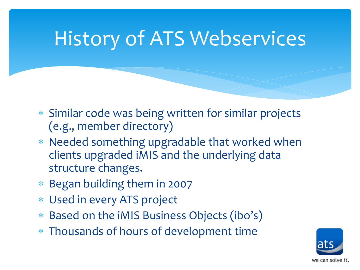## History of ATS Webservices

- Similar code was being written for similar projects (e.g., member directory)
- Needed something upgradable that worked when clients upgraded iMIS and the underlying data structure changes.
- Began building them in 2007
- Used in every ATS project
- Based on the iMIS Business Objects (ibo's)
- Thousands of hours of development time

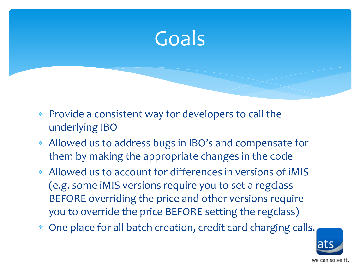

- Provide a consistent way for developers to call the underlying IBO
- Allowed us to address bugs in IBO's and compensate for them by making the appropriate changes in the code
- Allowed us to account for differences in versions of iMIS (e.g. some iMIS versions require you to set a regclass BEFORE overriding the price and other versions require you to override the price BEFORE setting the regclass)
- One place for all batch creation, credit card charging calls.

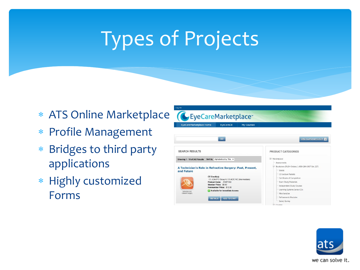## Types of Projects

- ATS Online Marketplace
- Profile Management
- Bridges to third party applications
- \* Highly customized Forms



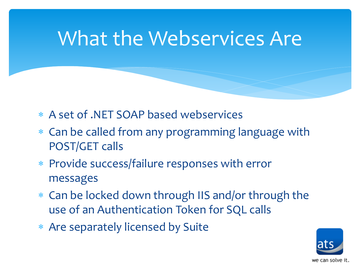## What the Webservices Are

- A set of .NET SOAP based webservices
- Can be called from any programming language with POST/GET calls
- Provide success/failure responses with error messages
- Can be locked down through IIS and/or through the use of an Authentication Token for SQL calls
- Are separately licensed by Suite

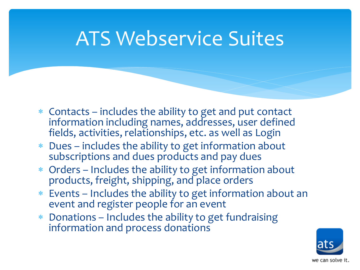## ATS Webservice Suites

- Contacts includes the ability to get and put contact information including names, addresses, user defined fields, activities, relationships, etc. as well as Login
- Dues includes the ability to get information about subscriptions and dues products and pay dues
- Orders Includes the ability to get information about products, freight, shipping, and place orders
- Events Includes the ability to get information about an event and register people for an event
- Donations Includes the ability to get fundraising information and process donations

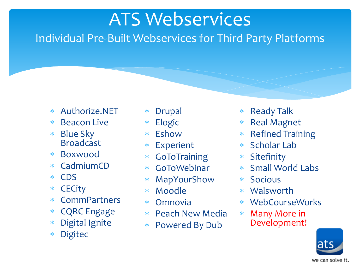### ATS Webservices

Individual Pre-Built Webservices for Third Party Platforms

- Authorize.NET
- Beacon Live
- Blue Sky **Broadcast**
- Boxwood
- CadmiumCD
- CDS
- **CECity**
- **CommPartners**
- CQRC Engage
- Digital Ignite
- Digitec
- Drupal
- Elogic
- Eshow
- Experient
- GoToTraining
- GoToWebinar
- MapYourShow
- Moodle
- Omnovia
- Peach New Media
- Powered By Dub
- Ready Talk
- \* Real Magnet
- \* Refined Training
- Scholar Lab
- Sitefinity
- Small World Labs
- Socious
- Walsworth
- WebCourseWorks
- Many More in Development!

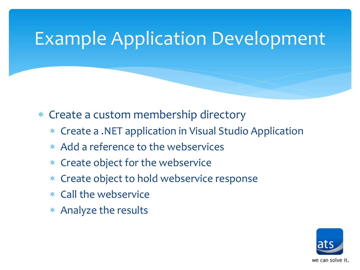#### Example Application Development

Create a custom membership directory

- Create a .NET application in Visual Studio Application
- Add a reference to the webservices
- Create object for the webservice
- Create object to hold webservice response
- Call the webservice
- Analyze the results

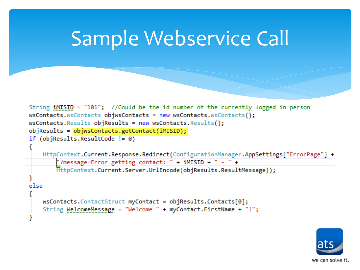### Sample Webservice Call

```
String iMISID = "101"; //Could be the id number of the currently logged in person
wsContacts.wsContacts objwsContacts = new wsContacts.wsContacts();
wsContexts. Results objResults = new wsContexts. Results();
objResults = objwsContext.getContext(iMISION);if (objResults. ResultCode != 0)HttpContext.Current.Response.Redirect(ConfigurationManager.AppSettings["ErrorPage"] +
        "?message=Error getting contact: " + iMISID + " - " +
       HttpContext.Current.Server.UrlEncode(objResults.ResultMessage));
else
   wsContext.Sontacts.Tuct myContent = objResults.Contacts[0];String WelcomeMessage = "Welcome " + myContact.FirstName + "!";
```
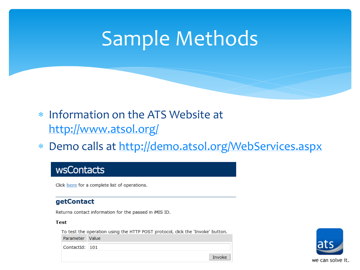## Sample Methods

- Information on the ATS Website at <http://www.atsol.org/>
- Demo calls at <http://demo.atsol.org/WebServices.aspx>

#### wsContacts

Click here for a complete list of operations.

#### getContact

Returns contact information for the passed in iMIS ID.

#### **Test**

To test the operation using the HTTP POST protocol, click the 'Invoke' button. Parameter Value ContactId: 101



Invoke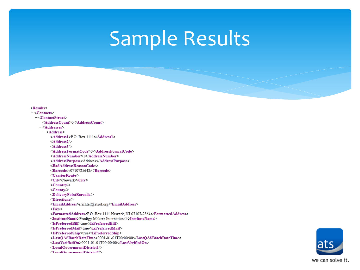## Sample Results

| $-\langle$ Results $\rangle$                                             |
|--------------------------------------------------------------------------|
| $-$ <contacts></contacts>                                                |
| $-\leq$ ContactStruct>                                                   |
| <addresscount>0</addresscount>                                           |
| $-\leq$ Addresses>                                                       |
| $-$ <address></address>                                                  |
| <address1>P.O. Box 1111</address1>                                       |
| $\leq$ Address2/ $\geq$                                                  |
| $\leq$ Address3/ $>$                                                     |
| <addressformatcode>0</addressformatcode>                                 |
| <addressnumber>1</addressnumber>                                         |
| <addresspurpose>Address</addresspurpose>                                 |
| <badaddressreasoncode></badaddressreasoncode>                            |
| <barcode>/0710725648/</barcode>                                          |
| $\leq$ CarrierRoute $\geq$                                               |
| <city>Newark</city>                                                      |
| $\langle$ Country                                                        |
| $<$ County $\ge$                                                         |
| <deliverypointbarcode></deliverypointbarcode>                            |
| $\langle$ Directions $\rangle$                                           |
| <emailaddress>rrichter@atsol.org</emailaddress>                          |
| $<$ Fax $>$                                                              |
| <formattedaddress>P.O. Box 1111 Newark, NJ 07107-2564</formattedaddress> |
| <institutename>Prodigy Makers International</institutename>              |
| <ispreferredbill>true</ispreferredbill>                                  |
| <ispreferredmail>true</ispreferredmail>                                  |
| <ispreferredship>true</ispreferredship>                                  |
| <lastqasbatchdatetime>0001-01-01T00:00:00</lastqasbatchdatetime>         |
| <lastverifiedon>0001-01-01T00:00:00</lastverifiedon>                     |
| $\le$ LocalGovernmentDistrictl $\ge$                                     |
| $\langle$ LocalCovernmentDistrict $2 \rangle$                            |

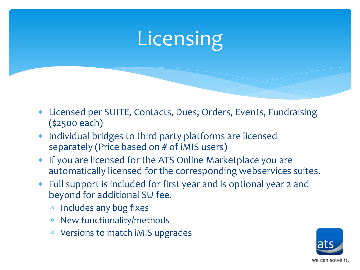# **Licensing**

- Licensed per SUITE, Contacts, Dues, Orders, Events, Fundraising (\$2500 each)
- Individual bridges to third party platforms are licensed separately (Price based on # of iMIS users)
- If you are licensed for the ATS Online Marketplace you are automatically licensed for the corresponding webservices suites.
- Full support is included for first year and is optional year 2 and beyond for additional SU fee.
	- \* Includes any bug fixes
	- New functionality/methods
	- Versions to match iMIS upgrades

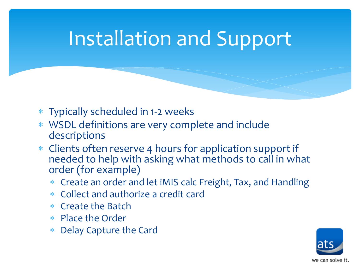## Installation and Support

- Typically scheduled in 1-2 weeks
- WSDL definitions are very complete and include descriptions
- Clients often reserve 4 hours for application support if needed to help with asking what methods to call in what order (for example)
	- Create an order and let iMIS calc Freight, Tax, and Handling
	- Collect and authorize a credit card
	- $*$  Create the Batch
	- Place the Order
	- Delay Capture the Card